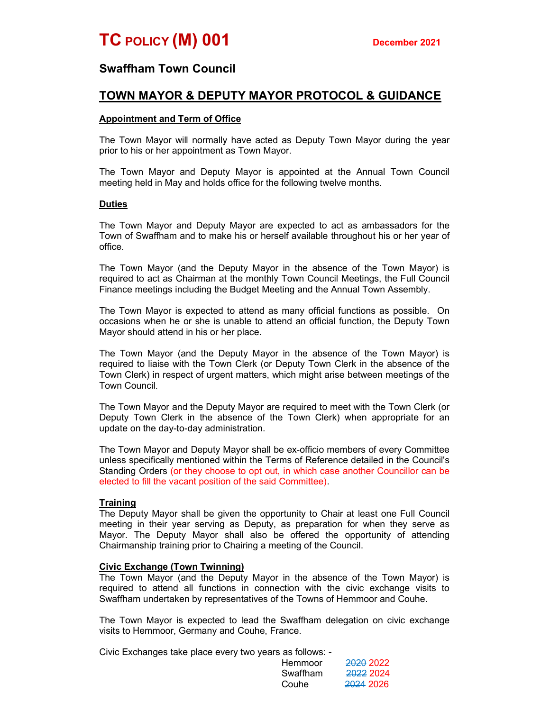## Swaffham Town Council

# TOWN MAYOR & DEPUTY MAYOR PROTOCOL & GUIDANCE

### Appointment and Term of Office

The Town Mayor will normally have acted as Deputy Town Mayor during the year prior to his or her appointment as Town Mayor.

The Town Mayor and Deputy Mayor is appointed at the Annual Town Council meeting held in May and holds office for the following twelve months.

#### Duties

The Town Mayor and Deputy Mayor are expected to act as ambassadors for the Town of Swaffham and to make his or herself available throughout his or her year of office.

The Town Mayor (and the Deputy Mayor in the absence of the Town Mayor) is required to act as Chairman at the monthly Town Council Meetings, the Full Council Finance meetings including the Budget Meeting and the Annual Town Assembly.

The Town Mayor is expected to attend as many official functions as possible. On occasions when he or she is unable to attend an official function, the Deputy Town Mayor should attend in his or her place.

The Town Mayor (and the Deputy Mayor in the absence of the Town Mayor) is required to liaise with the Town Clerk (or Deputy Town Clerk in the absence of the Town Clerk) in respect of urgent matters, which might arise between meetings of the Town Council.

The Town Mayor and the Deputy Mayor are required to meet with the Town Clerk (or Deputy Town Clerk in the absence of the Town Clerk) when appropriate for an update on the day-to-day administration.

The Town Mayor and Deputy Mayor shall be ex-officio members of every Committee unless specifically mentioned within the Terms of Reference detailed in the Council's Standing Orders (or they choose to opt out, in which case another Councillor can be elected to fill the vacant position of the said Committee).

#### **Training**

The Deputy Mayor shall be given the opportunity to Chair at least one Full Council meeting in their year serving as Deputy, as preparation for when they serve as Mayor. The Deputy Mayor shall also be offered the opportunity of attending Chairmanship training prior to Chairing a meeting of the Council.

#### Civic Exchange (Town Twinning)

The Town Mayor (and the Deputy Mayor in the absence of the Town Mayor) is required to attend all functions in connection with the civic exchange visits to Swaffham undertaken by representatives of the Towns of Hemmoor and Couhe.

The Town Mayor is expected to lead the Swaffham delegation on civic exchange visits to Hemmoor, Germany and Couhe, France.

Civic Exchanges take place every two years as follows: -

|  | Hemmoor  | 2020 2022            |
|--|----------|----------------------|
|  | Swaffham | <del>2022</del> 2024 |
|  | Couhe    | <del>2024</del> 2026 |
|  |          |                      |